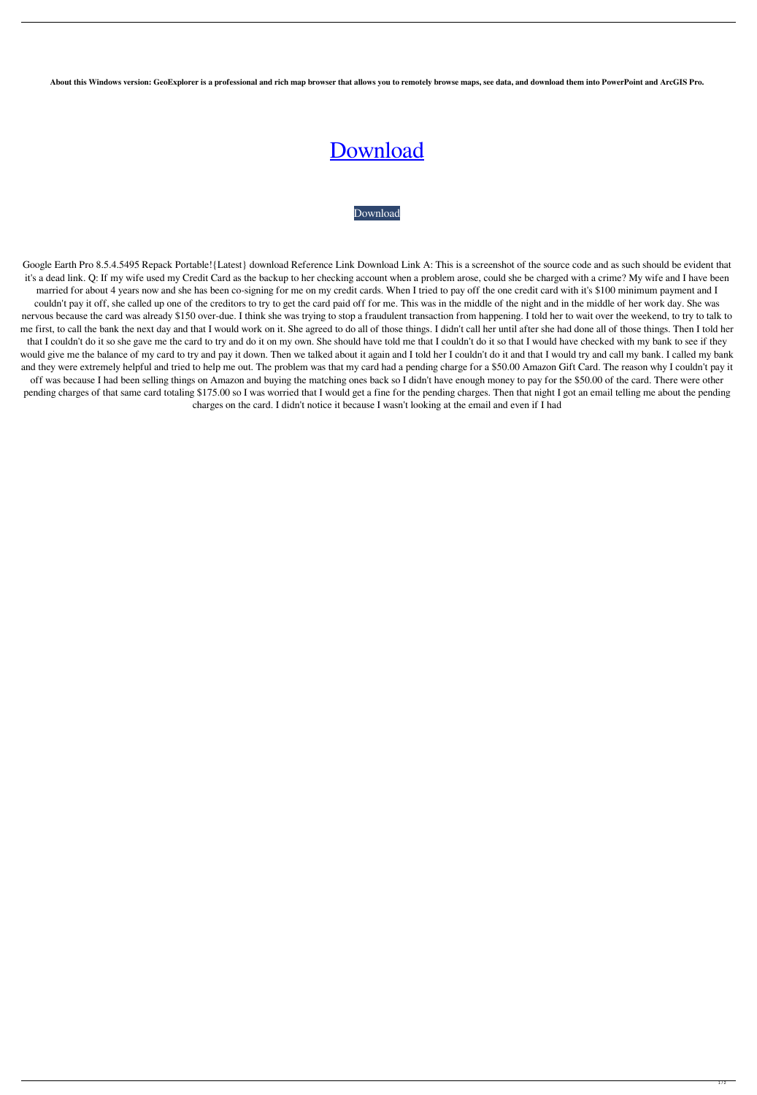**About this Windows version: GeoExplorer is a professional and rich map browser that allows you to remotely browse maps, see data, and download them into PowerPoint and ArcGIS Pro.**

## [Download](https://urlin.us/2l0xgf)

[Download](https://urlin.us/2l0xgf)

Google Earth Pro 8.5.4.5495 Repack Portable!{Latest} download Reference Link Download Link A: This is a screenshot of the source code and as such should be evident that it's a dead link. Q: If my wife used my Credit Card as the backup to her checking account when a problem arose, could she be charged with a crime? My wife and I have been married for about 4 years now and she has been co-signing for me on my credit cards. When I tried to pay off the one credit card with it's \$100 minimum payment and I couldn't pay it off, she called up one of the creditors to try to get the card paid off for me. This was in the middle of the night and in the middle of her work day. She was nervous because the card was already \$150 over-due. I think she was trying to stop a fraudulent transaction from happening. I told her to wait over the weekend, to try to talk to me first, to call the bank the next day and that I would work on it. She agreed to do all of those things. I didn't call her until after she had done all of those things. Then I told her that I couldn't do it so she gave me the card to try and do it on my own. She should have told me that I couldn't do it so that I would have checked with my bank to see if they would give me the balance of my card to try and pay it down. Then we talked about it again and I told her I couldn't do it and that I would try and call my bank. I called my bank and they were extremely helpful and tried to help me out. The problem was that my card had a pending charge for a \$50.00 Amazon Gift Card. The reason why I couldn't pay it off was because I had been selling things on Amazon and buying the matching ones back so I didn't have enough money to pay for the \$50.00 of the card. There were other pending charges of that same card totaling \$175.00 so I was worried that I would get a fine for the pending charges. Then that night I got an email telling me about the pending charges on the card. I didn't notice it because I wasn't looking at the email and even if I had